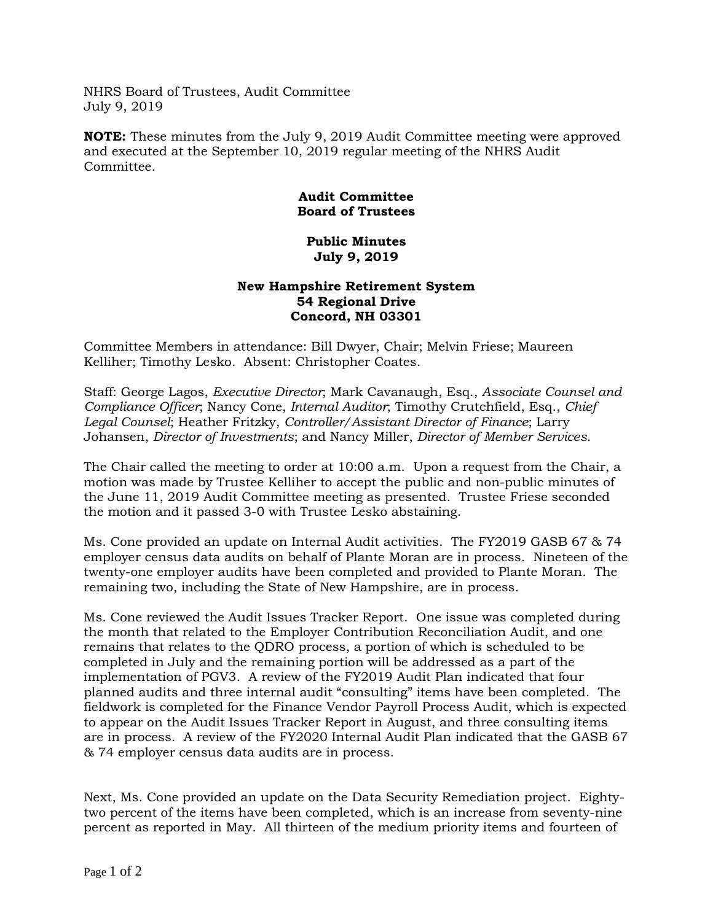NHRS Board of Trustees, Audit Committee July 9, 2019

**NOTE:** These minutes from the July 9, 2019 Audit Committee meeting were approved and executed at the September 10, 2019 regular meeting of the NHRS Audit Committee.

## **Audit Committee Board of Trustees**

## **Public Minutes July 9, 2019**

## **New Hampshire Retirement System 54 Regional Drive Concord, NH 03301**

Committee Members in attendance: Bill Dwyer, Chair; Melvin Friese; Maureen Kelliher; Timothy Lesko. Absent: Christopher Coates.

Staff: George Lagos, *Executive Director*; Mark Cavanaugh, Esq., *Associate Counsel and Compliance Officer*; Nancy Cone, *Internal Auditor*; Timothy Crutchfield, Esq., *Chief Legal Counsel*; Heather Fritzky, *Controller/Assistant Director of Finance*; Larry Johansen, *Director of Investments*; and Nancy Miller, *Director of Member Services.*

The Chair called the meeting to order at 10:00 a.m. Upon a request from the Chair, a motion was made by Trustee Kelliher to accept the public and non-public minutes of the June 11, 2019 Audit Committee meeting as presented. Trustee Friese seconded the motion and it passed 3-0 with Trustee Lesko abstaining.

Ms. Cone provided an update on Internal Audit activities. The FY2019 GASB 67 & 74 employer census data audits on behalf of Plante Moran are in process. Nineteen of the twenty-one employer audits have been completed and provided to Plante Moran. The remaining two, including the State of New Hampshire, are in process.

Ms. Cone reviewed the Audit Issues Tracker Report. One issue was completed during the month that related to the Employer Contribution Reconciliation Audit, and one remains that relates to the QDRO process, a portion of which is scheduled to be completed in July and the remaining portion will be addressed as a part of the implementation of PGV3. A review of the FY2019 Audit Plan indicated that four planned audits and three internal audit "consulting" items have been completed. The fieldwork is completed for the Finance Vendor Payroll Process Audit, which is expected to appear on the Audit Issues Tracker Report in August, and three consulting items are in process. A review of the FY2020 Internal Audit Plan indicated that the GASB 67 & 74 employer census data audits are in process.

Next, Ms. Cone provided an update on the Data Security Remediation project. Eightytwo percent of the items have been completed, which is an increase from seventy-nine percent as reported in May. All thirteen of the medium priority items and fourteen of